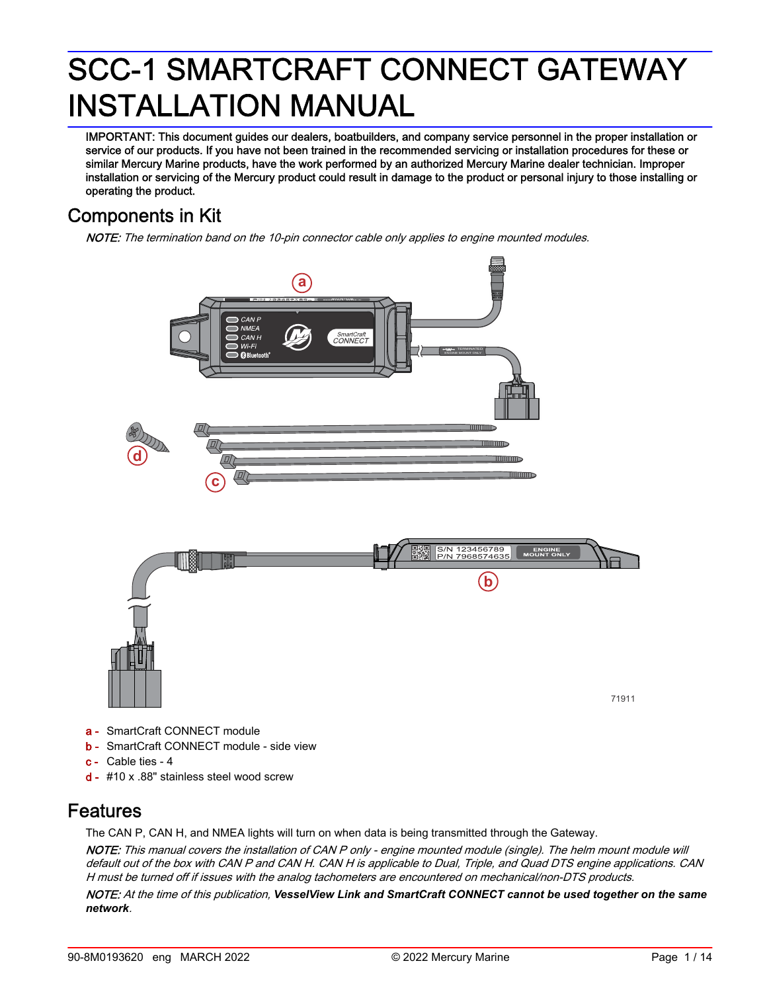IMPORTANT: This document guides our dealers, boatbuilders, and company service personnel in the proper installation or service of our products. If you have not been trained in the recommended servicing or installation procedures for these or similar Mercury Marine products, have the work performed by an authorized Mercury Marine dealer technician. Improper installation or servicing of the Mercury product could result in damage to the product or personal injury to those installing or operating the product.

# Components in Kit

NOTE: The termination band on the 10-pin connector cable only applies to engine mounted modules.



- **b** SmartCraft CONNECT module side view
- c Cable ties ‑ 4
- d #10 x .88" stainless steel wood screw

# Features

The CAN P, CAN H, and NMEA lights will turn on when data is being transmitted through the Gateway.

NOTE: This manual covers the installation of CAN P only - engine mounted module (single). The helm mount module will default out of the box with CAN P and CAN H. CAN H is applicable to Dual, Triple, and Quad DTS engine applications. CAN H must be turned off if issues with the analog tachometers are encountered on mechanical/non-DTS products.

NOTE: At the time of this publication, *VesselView Link and SmartCraft CONNECT cannot be used together on the same network*.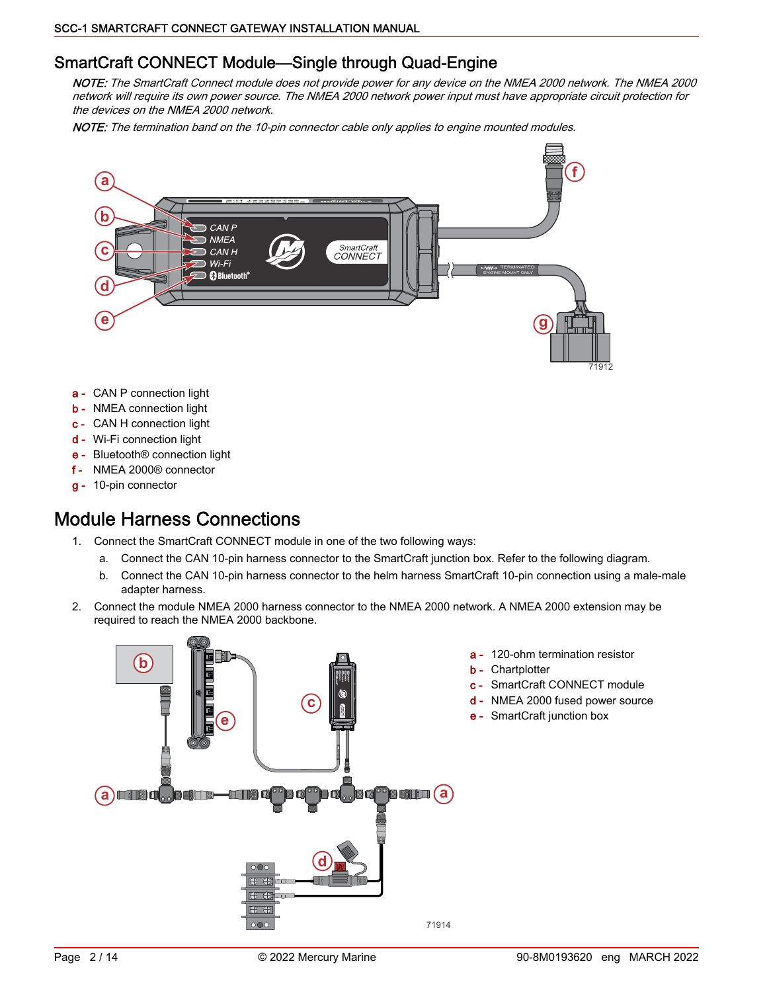### SmartCraft CONNECT Module—Single through Quad-Engine

NOTE: The SmartCraft Connect module does not provide power for any device on the NMEA 2000 network. The NMEA 2000 network will require its own power source. The NMEA 2000 network power input must have appropriate circuit protection for the devices on the NMEA 2000 network.

NOTE: The termination band on the 10-pin connector cable only applies to engine mounted modules.



- a CAN P connection light
- **b** NMEA connection light
- c CAN H connection light
- d Wi‑Fi connection light
- e Bluetooth® connection light
- f NMEA 2000® connector
- g 10‑pin connector

# Module Harness Connections

- 1. Connect the SmartCraft CONNECT module in one of the two following ways:
	- a. Connect the CAN 10‑pin harness connector to the SmartCraft junction box. Refer to the following diagram.
	- b. Connect the CAN 10-pin harness connector to the helm harness SmartCraft 10-pin connection using a male-male adapter harness.
- 2. Connect the module NMEA 2000 harness connector to the NMEA 2000 network. A NMEA 2000 extension may be required to reach the NMEA 2000 backbone.



- a 120-ohm termination resistor
- **b** Chartplotter
- c SmartCraft CONNECT module
- d NMEA 2000 fused power source
- e SmartCraft junction box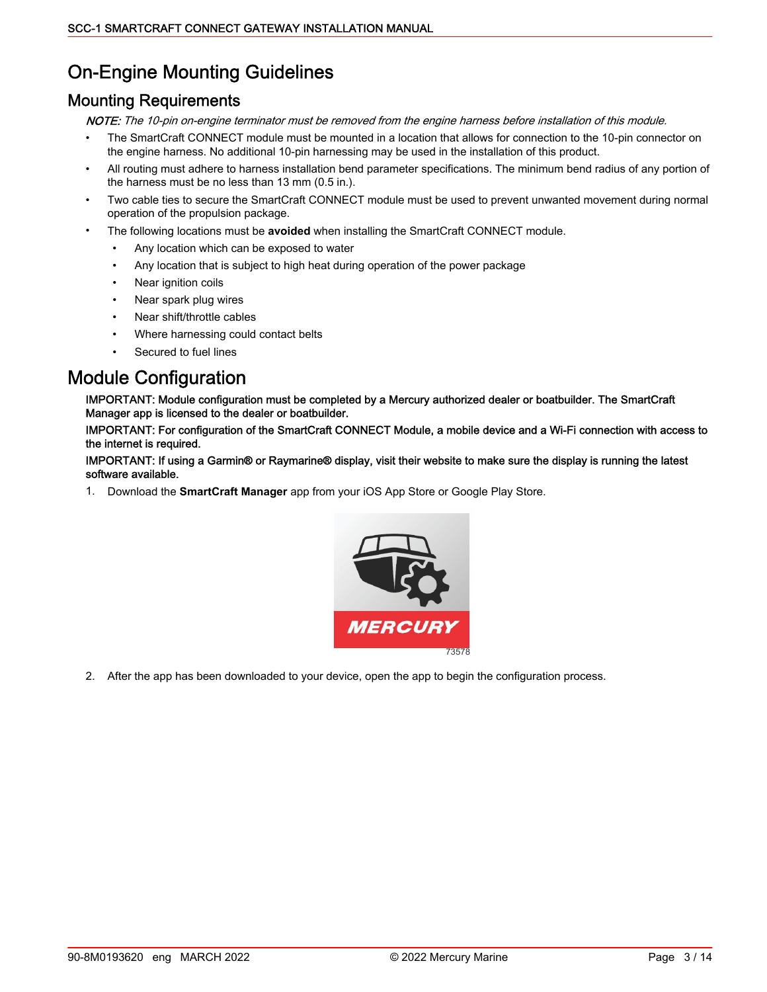# On‑Engine Mounting Guidelines

### Mounting Requirements

NOTE: The 10-pin on-engine terminator must be removed from the engine harness before installation of this module.

- The SmartCraft CONNECT module must be mounted in a location that allows for connection to the 10-pin connector on the engine harness. No additional 10‑pin harnessing may be used in the installation of this product.
- All routing must adhere to harness installation bend parameter specifications. The minimum bend radius of any portion of the harness must be no less than 13 mm (0.5 in.).
- Two cable ties to secure the SmartCraft CONNECT module must be used to prevent unwanted movement during normal operation of the propulsion package.
- The following locations must be **avoided** when installing the SmartCraft CONNECT module.
	- Any location which can be exposed to water
	- Any location that is subject to high heat during operation of the power package
	- Near ignition coils
	- Near spark plug wires
	- Near shift/throttle cables
	- Where harnessing could contact belts
	- Secured to fuel lines

# Module Configuration

IMPORTANT: Module configuration must be completed by a Mercury authorized dealer or boatbuilder. The SmartCraft Manager app is licensed to the dealer or boatbuilder.

IMPORTANT: For configuration of the SmartCraft CONNECT Module, a mobile device and a Wi‑Fi connection with access to the internet is required.

#### IMPORTANT: If using a Garmin® or Raymarine® display, visit their website to make sure the display is running the latest software available.

1. Download the **SmartCraft Manager** app from your iOS App Store or Google Play Store.



2. After the app has been downloaded to your device, open the app to begin the configuration process.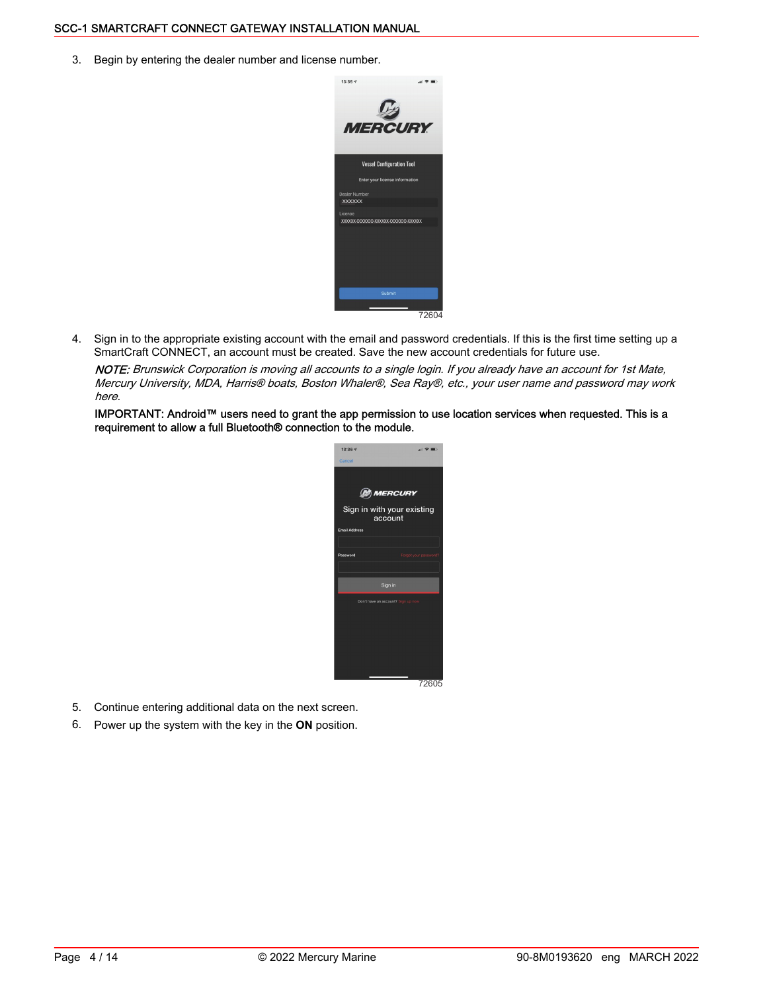3. Begin by entering the dealer number and license number.



4. Sign in to the appropriate existing account with the email and password credentials. If this is the first time setting up a SmartCraft CONNECT, an account must be created. Save the new account credentials for future use.

NOTE: Brunswick Corporation is moving all accounts to a single login. If you already have an account for 1st Mate, Mercury University, MDA, Harris® boats, Boston Whaler®, Sea Ray®, etc., your user name and password may work here.

IMPORTANT: Android™ users need to grant the app permission to use location services when requested. This is a requirement to allow a full Bluetooth® connection to the module.



- 5. Continue entering additional data on the next screen.
- 6. Power up the system with the key in the **ON** position.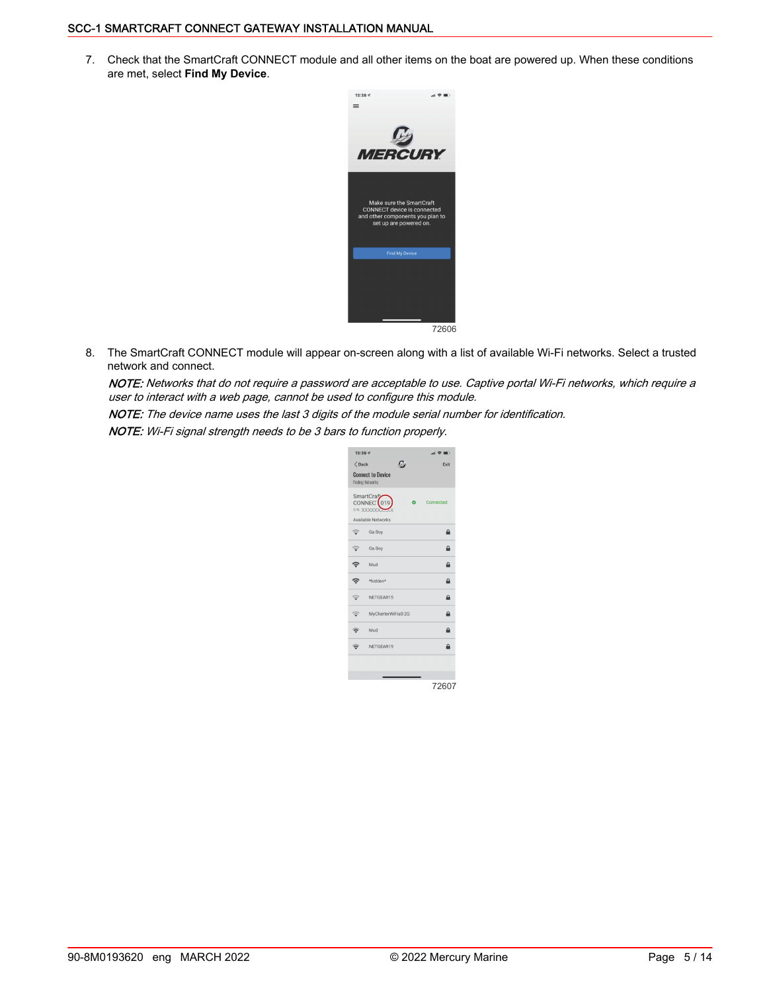7. Check that the SmartCraft CONNECT module and all other items on the boat are powered up. When these conditions are met, select **Find My Device**.



8. The SmartCraft CONNECT module will appear on-screen along with a list of available Wi-Fi networks. Select a trusted network and connect.

NOTE: Networks that do not require a password are acceptable to use. Captive portal Wi‑Fi networks, which require a user to interact with a web page, cannot be used to configure this module.

NOTE: The device name uses the last 3 digits of the module serial number for identification.

NOTE: Wi-Fi signal strength needs to be 3 bars to function properly.

| 13:39 7        |                                                          |           | $H \otimes H$ |
|----------------|----------------------------------------------------------|-----------|---------------|
| $\langle$ Back | c                                                        |           | Exit          |
|                | <b>Connect to Device</b><br><b>Finding Networks</b>      |           |               |
|                | SmartCrafz<br>CONNEC <sup>'</sup> 019<br>S/N: XXXXXXXAAA | $\bullet$ | Connected     |
|                | Available Networks                                       |           |               |
|                | Ga Boy                                                   |           | ≙             |
|                | Ga Boy                                                   |           | ≙             |
| ခ့             | Mud                                                      |           | A             |
| \$.            | *hidden*                                                 |           | ≙             |
|                | NETGEAR15                                                |           | $\mathbf{a}$  |
|                | MyCharterWiFia0-2G                                       |           | $\mathbf{a}$  |
|                | Mud                                                      |           | ≏             |
|                | NETGEAR19                                                |           | Δ             |
|                |                                                          |           |               |
|                |                                                          |           |               |
|                |                                                          |           | 72607         |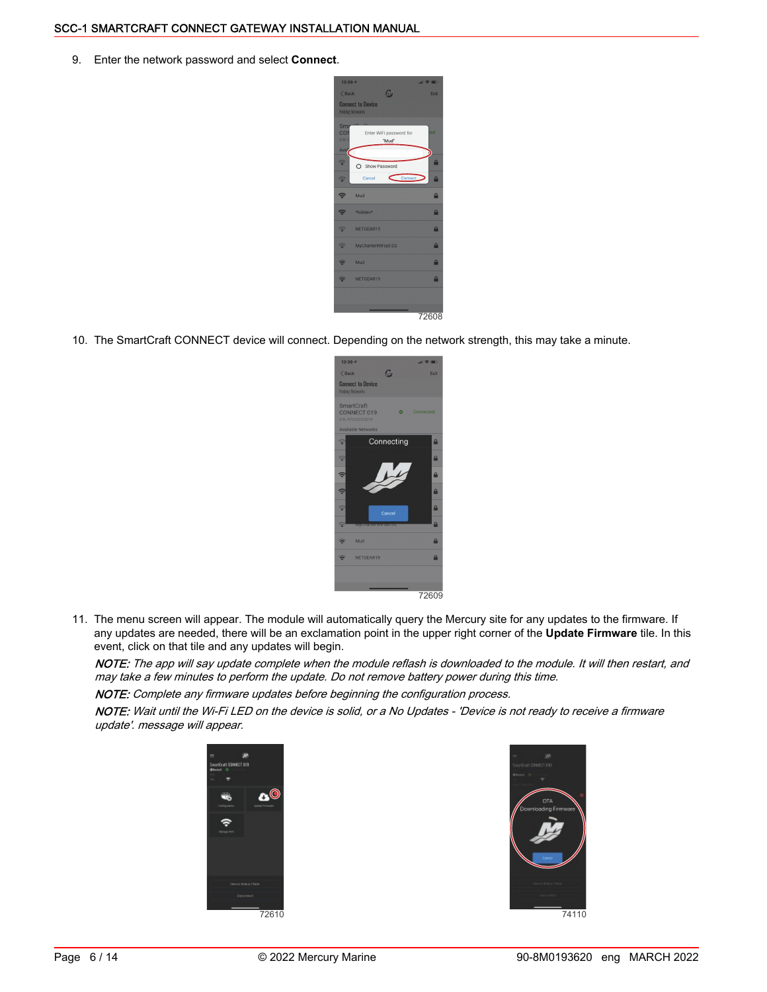9. Enter the network password and select **Connect**.

| $13:39 - 7$<br>$\langle$ Back                   | ω                                                   | $=$ $\frac{1}{2}$ in<br>Exit |
|-------------------------------------------------|-----------------------------------------------------|------------------------------|
|                                                 | <b>Connect to Device</b><br><b>Finding Networks</b> |                              |
| Sm <sub>i</sub><br><b>CON</b><br>S/N: F<br>Avaj | Enter WiFi password for<br>"Mud"                    | ted                          |
| $\Rightarrow$                                   | O Show Password<br>Cancel                           | A                            |
| $\widehat{\mathbb{P}}$                          | Connect<br>Mud                                      | $\mathbf{a}$<br>$\mathbf{a}$ |
|                                                 | *hidden*                                            | A                            |
| ଵ                                               | NETGEAR15                                           | $\mathbf{a}$                 |
|                                                 | MyCharterWiFia0-2G                                  | $\mathbf{a}$                 |
|                                                 | Mud                                                 | $\mathbf{a}$                 |
|                                                 | NETGEAR19                                           | $\mathbf{a}$                 |
|                                                 |                                                     |                              |
|                                                 |                                                     | 72608                        |

10. The SmartCraft CONNECT device will connect. Depending on the network strength, this may take a minute.

- smartGraft<br>CONNECT 019 Connectina 72609
- 11. The menu screen will appear. The module will automatically query the Mercury site for any updates to the firmware. If any updates are needed, there will be an exclamation point in the upper right corner of the **Update Firmware** tile. In this event, click on that tile and any updates will begin.

NOTE: The app will say update complete when the module reflash is downloaded to the module. It will then restart, and may take a few minutes to perform the update. Do not remove battery power during this time.

NOTE: Complete any firmware updates before beginning the configuration process.

NOTE: Wait until the Wi-Fi LED on the device is solid, or a No Updates - 'Device is not ready to receive a firmware update'. message will appear.



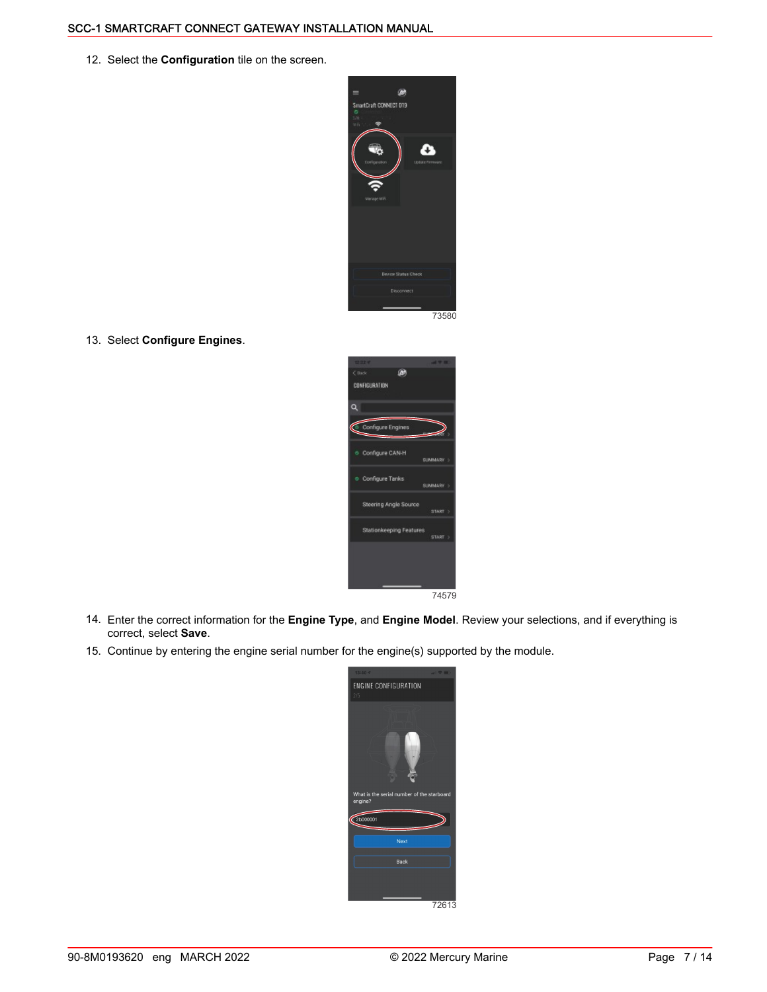12. Select the **Configuration** tile on the screen.



13. Select **Configure Engines**.



- 14. Enter the correct information for the **Engine Type**, and **Engine Model**. Review your selections, and if everything is correct, select **Save**.
- 15. Continue by entering the engine serial number for the engine(s) supported by the module.

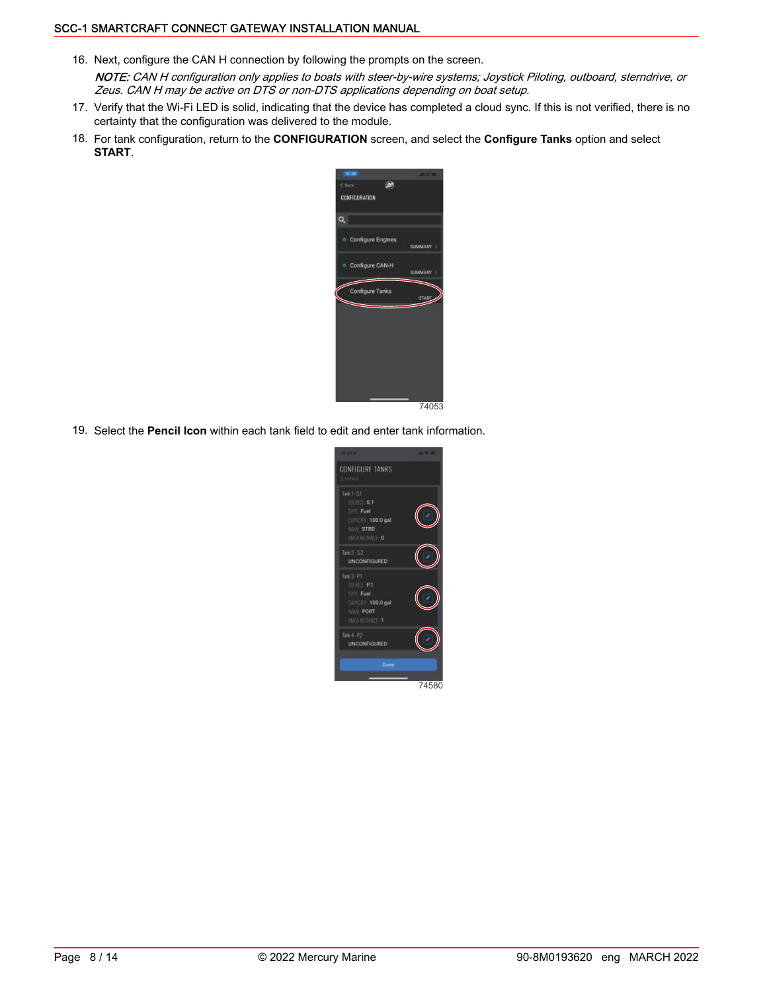- 16. Next, configure the CAN H connection by following the prompts on the screen. NOTE: CAN H configuration only applies to boats with steer-by-wire systems; Joystick Piloting, outboard, sterndrive, or Zeus. CAN H may be active on DTS or non‑DTS applications depending on boat setup.
- 17. Verify that the Wi-Fi LED is solid, indicating that the device has completed a cloud sync. If this is not verified, there is no certainty that the configuration was delivered to the module.
- 18. For tank configuration, return to the **CONFIGURATION** screen, and select the **Configure Tanks** option and select **START**.



19. Select the **Pencil Icon** within each tank field to edit and enter tank information.

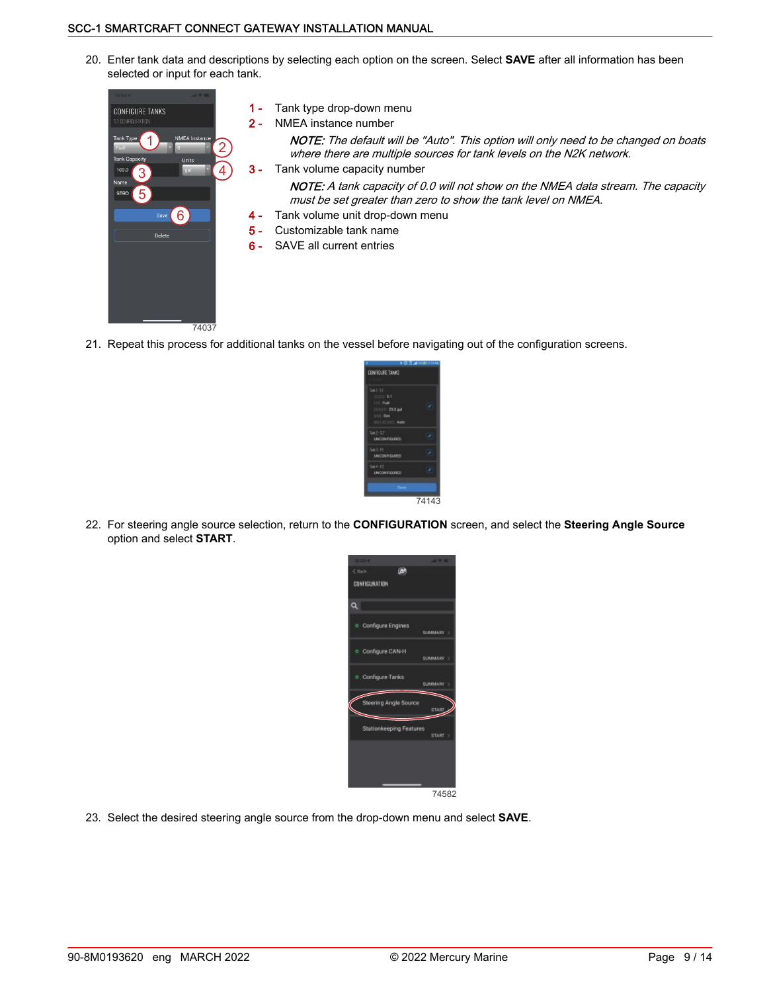20. Enter tank data and descriptions by selecting each option on the screen. Select **SAVE** after all information has been selected or input for each tank.



- 21. Repeat this process for additional tanks on the vessel before navigating out of the configuration screens.
	- .<br>Divîskê dike 74143
- 22. For steering angle source selection, return to the **CONFIGURATION** screen, and select the **Steering Angle Source** option and select **START**.



23. Select the desired steering angle source from the drop‑down menu and select **SAVE**.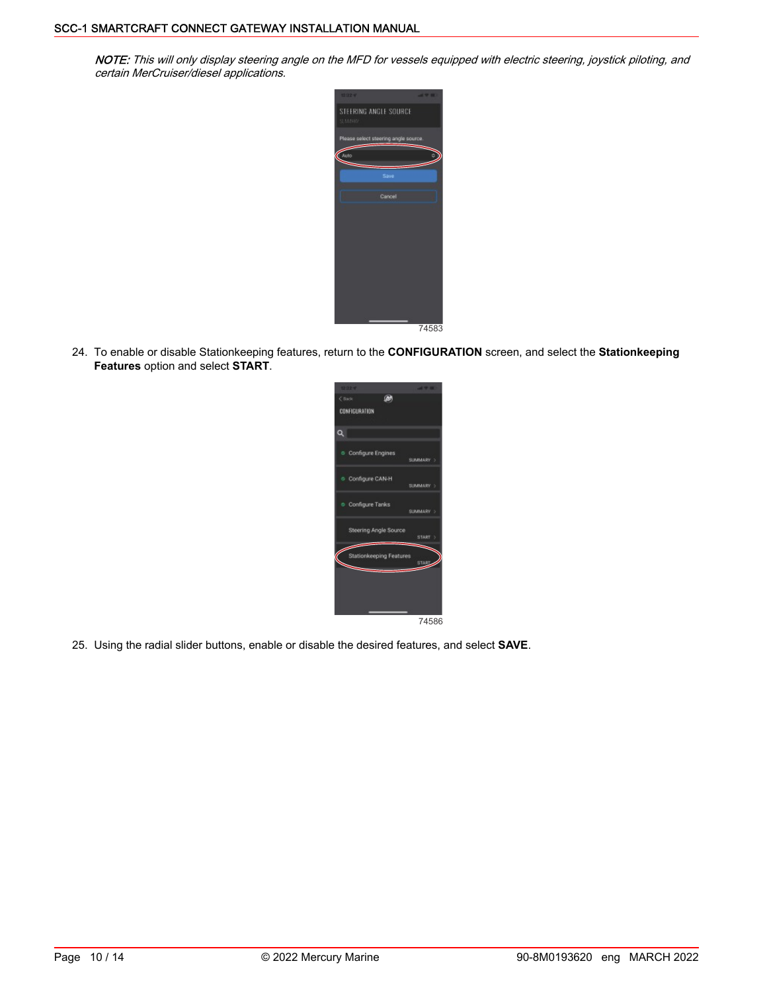NOTE: This will only display steering angle on the MFD for vessels equipped with electric steering, joystick piloting, and certain MerCruiser/diesel applications.



24. To enable or disable Stationkeeping features, return to the **CONFIGURATION** screen, and select the **Stationkeeping Features** option and select **START**.



25. Using the radial slider buttons, enable or disable the desired features, and select **SAVE**.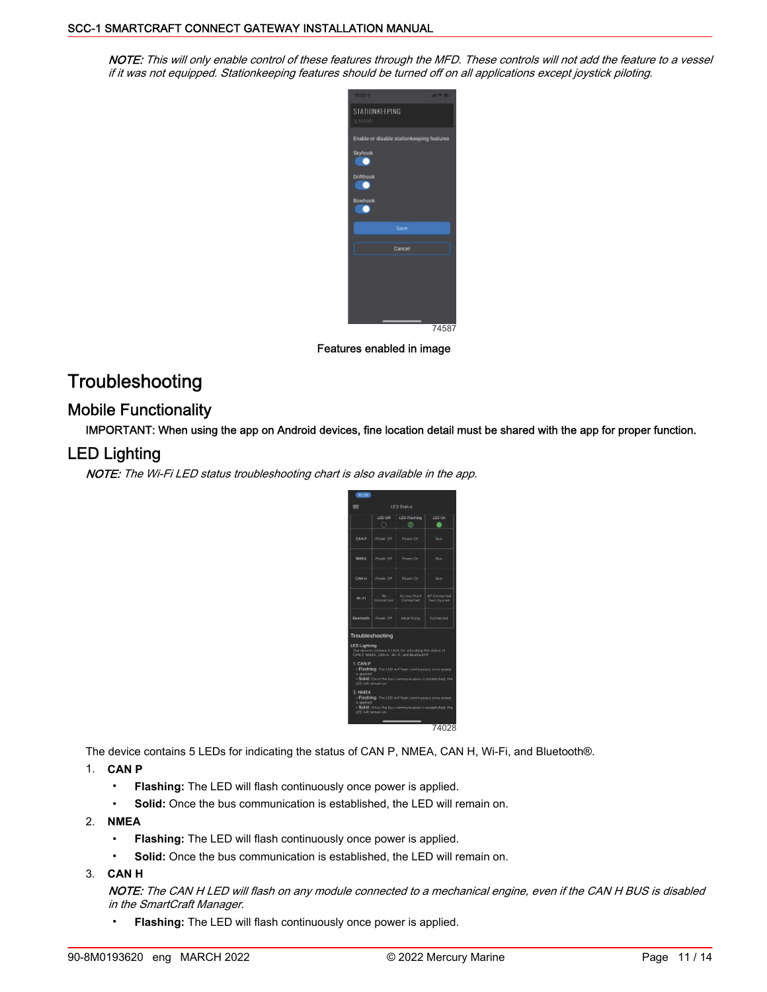NOTE: This will only enable control of these features through the MFD. These controls will not add the feature to a vessel if it was not equipped. Stationkeeping features should be turned off on all applications except joystick piloting.



Features enabled in image

# **Troubleshooting**

### Mobile Functionality

IMPORTANT: When using the app on Android devices, fine location detail must be shared with the app for proper function.

### LED Lighting

NOTE: The Wi-Fi LED status troubleshooting chart is also available in the app.

|                                                                        | n.                | LED Off LED Rashing                                                                                                                                                                                                                                                               | LED On                              |
|------------------------------------------------------------------------|-------------------|-----------------------------------------------------------------------------------------------------------------------------------------------------------------------------------------------------------------------------------------------------------------------------------|-------------------------------------|
|                                                                        |                   |                                                                                                                                                                                                                                                                                   |                                     |
| DANG.                                                                  | - Rower Dff       | Power On                                                                                                                                                                                                                                                                          | Don.                                |
| NUEL.                                                                  | Nowe Off          | Pewin Cir.                                                                                                                                                                                                                                                                        | <b>Bun</b>                          |
| CAN H                                                                  | Power Drt         | Power On                                                                                                                                                                                                                                                                          | fa.e.                               |
| 14.71                                                                  | No.<br>Docemoran. | <b>Access Pont</b><br>Divisional                                                                                                                                                                                                                                                  | AP Division field<br>Twill Solicies |
| <b>Bluespach</b>                                                       | Power Off.        | Advertising                                                                                                                                                                                                                                                                       | Connected                           |
| LED Lighting<br>1. CAN P<br>a seekad<br>LED will remain on.<br>2. NMEA | Troubleshooting   | The device contains is LEDs for indicating the status of<br>CAN F NUEA, CAN H. W-FL and Bluetagher<br>- Flashing: the LED will have continuously smen power<br>- Solid: Dene the tax conversation is relativitied. The<br>. Flashing, the LED will flesh continuously shot power. |                                     |

The device contains 5 LEDs for indicating the status of CAN P, NMEA, CAN H, Wi‑Fi, and Bluetooth®.

#### 1. **CAN P**

- **Flashing:** The LED will flash continuously once power is applied.
- **Solid:** Once the bus communication is established, the LED will remain on.
- 2. **NMEA**
	- **Flashing:** The LED will flash continuously once power is applied.
	- **Solid:** Once the bus communication is established, the LED will remain on.

### 3. **CAN H**

NOTE: The CAN H LED will flash on any module connected to a mechanical engine, even if the CAN H BUS is disabled in the SmartCraft Manager.

• **Flashing:** The LED will flash continuously once power is applied.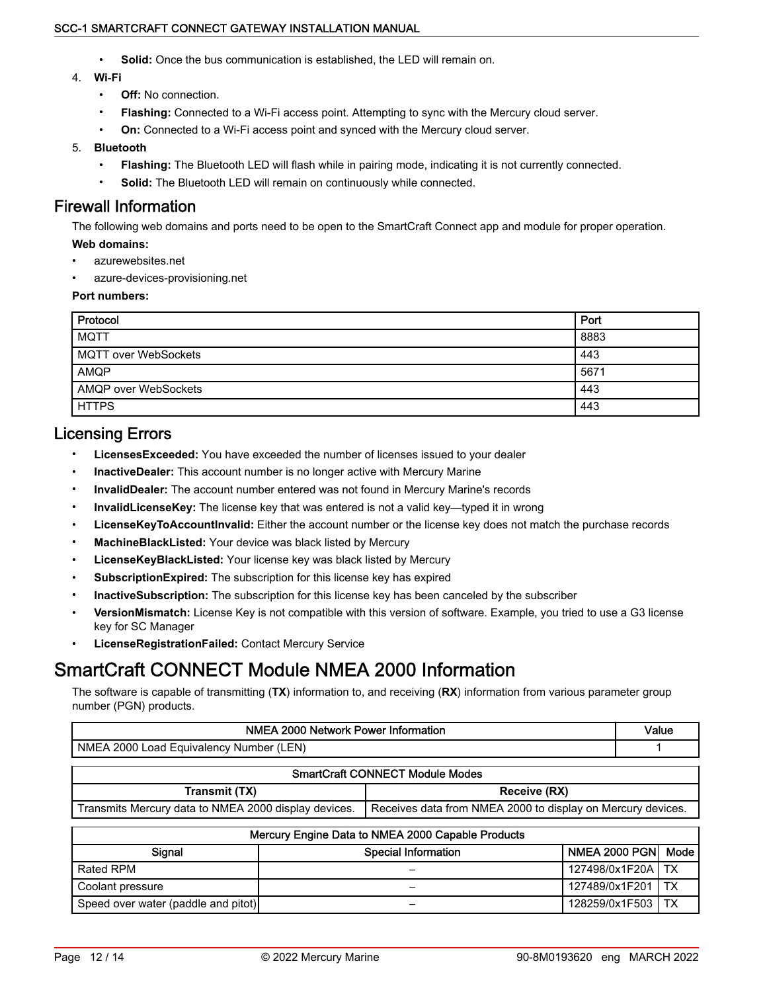- **Solid:** Once the bus communication is established, the LED will remain on.
- 4. **Wi‑Fi**
	- **Off:** No connection.
	- **Flashing:** Connected to a Wi‑Fi access point. Attempting to sync with the Mercury cloud server.
	- **On:** Connected to a Wi-Fi access point and synced with the Mercury cloud server.

#### 5. **Bluetooth**

- **Flashing:** The Bluetooth LED will flash while in pairing mode, indicating it is not currently connected.
- **Solid:** The Bluetooth LED will remain on continuously while connected.

### Firewall Information

The following web domains and ports need to be open to the SmartCraft Connect app and module for proper operation. **Web domains:**

- azurewebsites.net
- azure-devices-provisioning.net

#### **Port numbers:**

| Protocol                    | Port |
|-----------------------------|------|
| <b>MQTT</b>                 | 8883 |
| <b>MQTT</b> over WebSockets | 443  |
| AMQP                        | 5671 |
| AMQP over WebSockets        | 443  |
| <b>HTTPS</b>                | 443  |

### Licensing Errors

- **LicensesExceeded:** You have exceeded the number of licenses issued to your dealer
- **InactiveDealer:** This account number is no longer active with Mercury Marine
- **InvalidDealer:** The account number entered was not found in Mercury Marine's records
- **InvalidLicenseKey:** The license key that was entered is not a valid key—typed it in wrong
- **LicenseKeyToAccountInvalid:** Either the account number or the license key does not match the purchase records
- **MachineBlackListed:** Your device was black listed by Mercury
- **LicenseKeyBlackListed:** Your license key was black listed by Mercury
- **SubscriptionExpired:** The subscription for this license key has expired
- **InactiveSubscription:** The subscription for this license key has been canceled by the subscriber
- **VersionMismatch:** License Key is not compatible with this version of software. Example, you tried to use a G3 license key for SC Manager
- **LicenseRegistrationFailed:** Contact Mercury Service

# SmartCraft CONNECT Module NMEA 2000 Information

The software is capable of transmitting (**TX**) information to, and receiving (**RX**) information from various parameter group number (PGN) products.

| NMEA 2000 Network Power Information                  |                                                             | Value |
|------------------------------------------------------|-------------------------------------------------------------|-------|
| NMEA 2000 Load Equivalency Number (LEN)              |                                                             |       |
|                                                      | <b>SmartCraft CONNECT Module Modes</b>                      |       |
| Transmit (TX)                                        | Receive (RX)                                                |       |
| Transmits Mercury data to NMEA 2000 display devices. | Receives data from NMEA 2000 to display on Mercury devices. |       |
|                                                      | Moraup: Engine Deta to NNIEA 2000 Capable Producto          |       |

| Mercury Engine Data to NMEA 2000 Capable Products |                     |                 |      |  |
|---------------------------------------------------|---------------------|-----------------|------|--|
| Signal                                            | Special Information | NMEA 2000 PGNI  | Mode |  |
| Rated RPM                                         |                     | 127498/0x1F20AI | TX   |  |
| Coolant pressure                                  |                     | 127489/0x1F201  | TX   |  |
| Speed over water (paddle and pitot)               |                     | 128259/0x1F503  | ТX   |  |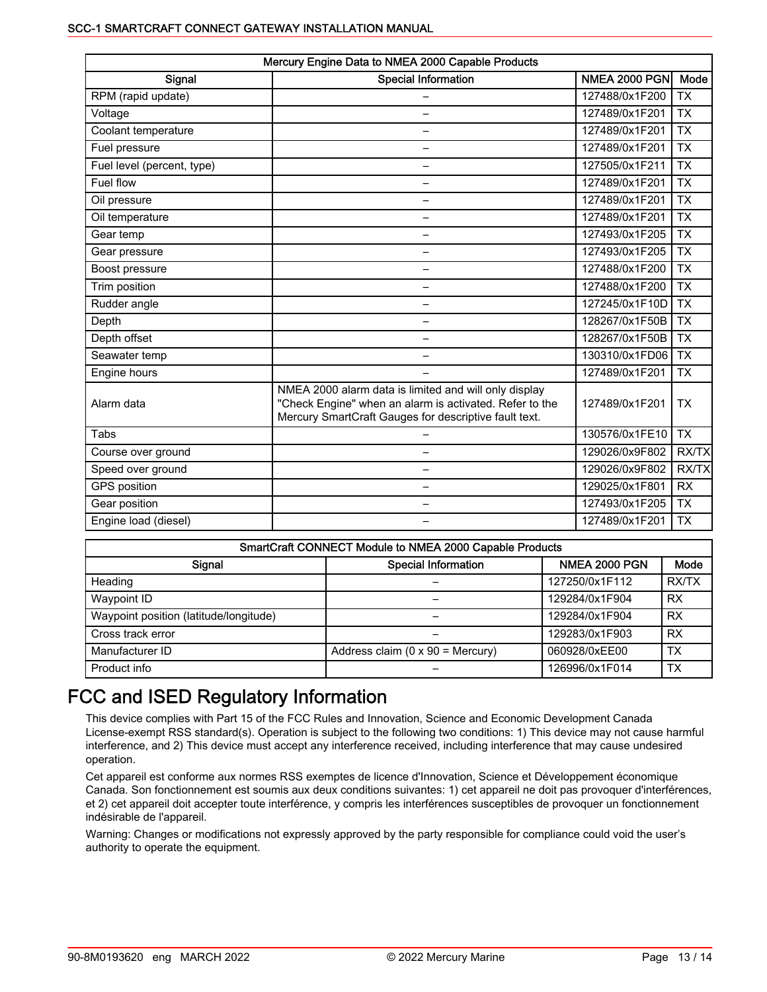| Mercury Engine Data to NMEA 2000 Capable Products |                                                                                                                                                                           |                      |                 |  |
|---------------------------------------------------|---------------------------------------------------------------------------------------------------------------------------------------------------------------------------|----------------------|-----------------|--|
| Signal                                            | <b>Special Information</b>                                                                                                                                                | <b>NMEA 2000 PGN</b> | Mode            |  |
| RPM (rapid update)                                |                                                                                                                                                                           | 127488/0x1F200       | <b>TX</b>       |  |
| Voltage                                           |                                                                                                                                                                           | 127489/0x1F201       | <b>TX</b>       |  |
| Coolant temperature                               | —                                                                                                                                                                         | 127489/0x1F201       | <b>TX</b>       |  |
| Fuel pressure                                     |                                                                                                                                                                           | 127489/0x1F201       | $\overline{TX}$ |  |
| Fuel level (percent, type)                        | $\overline{\phantom{0}}$                                                                                                                                                  | 127505/0x1F211       | <b>TX</b>       |  |
| Fuel flow                                         | —                                                                                                                                                                         | 127489/0x1F201       | <b>TX</b>       |  |
| Oil pressure                                      |                                                                                                                                                                           | 127489/0x1F201       | <b>TX</b>       |  |
| Oil temperature                                   |                                                                                                                                                                           | 127489/0x1F201       | $\overline{TX}$ |  |
| Gear temp                                         | —                                                                                                                                                                         | 127493/0x1F205       | <b>TX</b>       |  |
| Gear pressure                                     | $\overline{\phantom{0}}$                                                                                                                                                  | 127493/0x1F205       | <b>TX</b>       |  |
| Boost pressure                                    | $\overline{\phantom{0}}$                                                                                                                                                  | 127488/0x1F200       | $\overline{TX}$ |  |
| Trim position                                     | —                                                                                                                                                                         | 127488/0x1F200       | <b>TX</b>       |  |
| Rudder angle                                      | —                                                                                                                                                                         | 127245/0x1F10D       | <b>TX</b>       |  |
| Depth                                             | —                                                                                                                                                                         | 128267/0x1F50B       | <b>TX</b>       |  |
| Depth offset                                      |                                                                                                                                                                           | 128267/0x1F50B       | <b>TX</b>       |  |
| Seawater temp                                     |                                                                                                                                                                           | 130310/0x1FD06       | <b>TX</b>       |  |
| Engine hours                                      |                                                                                                                                                                           | 127489/0x1F201       | <b>TX</b>       |  |
| Alarm data                                        | NMEA 2000 alarm data is limited and will only display<br>"Check Engine" when an alarm is activated. Refer to the<br>Mercury SmartCraft Gauges for descriptive fault text. | 127489/0x1F201       | <b>TX</b>       |  |
| Tabs                                              |                                                                                                                                                                           | 130576/0x1FE10       | <b>TX</b>       |  |
| Course over ground                                | —                                                                                                                                                                         | 129026/0x9F802       | RX/TX           |  |
| Speed over ground                                 |                                                                                                                                                                           | 129026/0x9F802       | RX/TX           |  |
| <b>GPS</b> position                               |                                                                                                                                                                           | 129025/0x1F801       | <b>RX</b>       |  |
| Gear position                                     |                                                                                                                                                                           | 127493/0x1F205       | <b>TX</b>       |  |
| Engine load (diesel)                              |                                                                                                                                                                           | 127489/0x1F201       | <b>TX</b>       |  |

| SmartCraft CONNECT Module to NMEA 2000 Capable Products |                                          |                      |           |  |
|---------------------------------------------------------|------------------------------------------|----------------------|-----------|--|
| Signal                                                  | <b>Special Information</b>               | <b>NMEA 2000 PGN</b> | Mode      |  |
| Heading                                                 |                                          | 127250/0x1F112       | RX/TX     |  |
| Waypoint ID                                             |                                          | 129284/0x1F904       | <b>RX</b> |  |
| Waypoint position (latitude/longitude)                  |                                          | 129284/0x1F904       | <b>RX</b> |  |
| Cross track error                                       |                                          | 129283/0x1F903       | <b>RX</b> |  |
| Manufacturer ID                                         | Address claim ( $0 \times 90$ = Mercury) | 060928/0xEE00        | TX        |  |
| Product info                                            |                                          | 126996/0x1F014       | TX        |  |

# FCC and ISED Regulatory Information

This device complies with Part 15 of the FCC Rules and Innovation, Science and Economic Development Canada License-exempt RSS standard(s). Operation is subject to the following two conditions: 1) This device may not cause harmful interference, and 2) This device must accept any interference received, including interference that may cause undesired operation.

Cet appareil est conforme aux normes RSS exemptes de licence d'Innovation, Science et Développement économique Canada. Son fonctionnement est soumis aux deux conditions suivantes: 1) cet appareil ne doit pas provoquer d'interférences, et 2) cet appareil doit accepter toute interférence, y compris les interférences susceptibles de provoquer un fonctionnement indésirable de l'appareil.

Warning: Changes or modifications not expressly approved by the party responsible for compliance could void the user's authority to operate the equipment.